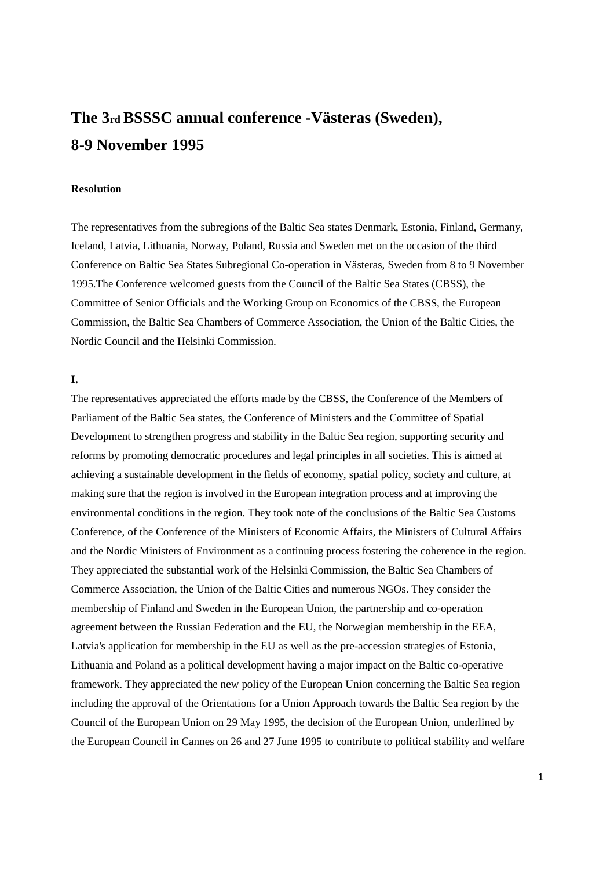# **The 3rd BSSSC annual conference -Västeras (Sweden), 8-9 November 1995**

### **Resolution**

The representatives from the subregions of the Baltic Sea states Denmark, Estonia, Finland, Germany, Iceland, Latvia, Lithuania, Norway, Poland, Russia and Sweden met on the occasion of the third Conference on Baltic Sea States Subregional Co-operation in Västeras, Sweden from 8 to 9 November 1995.The Conference welcomed guests from the Council of the Baltic Sea States (CBSS), the Committee of Senior Officials and the Working Group on Economics of the CBSS, the European Commission, the Baltic Sea Chambers of Commerce Association, the Union of the Baltic Cities, the Nordic Council and the Helsinki Commission.

### **I.**

The representatives appreciated the efforts made by the CBSS, the Conference of the Members of Parliament of the Baltic Sea states, the Conference of Ministers and the Committee of Spatial Development to strengthen progress and stability in the Baltic Sea region, supporting security and reforms by promoting democratic procedures and legal principles in all societies. This is aimed at achieving a sustainable development in the fields of economy, spatial policy, society and culture, at making sure that the region is involved in the European integration process and at improving the environmental conditions in the region. They took note of the conclusions of the Baltic Sea Customs Conference, of the Conference of the Ministers of Economic Affairs, the Ministers of Cultural Affairs and the Nordic Ministers of Environment as a continuing process fostering the coherence in the region. They appreciated the substantial work of the Helsinki Commission, the Baltic Sea Chambers of Commerce Association, the Union of the Baltic Cities and numerous NGOs. They consider the membership of Finland and Sweden in the European Union, the partnership and co-operation agreement between the Russian Federation and the EU, the Norwegian membership in the EEA, Latvia's application for membership in the EU as well as the pre-accession strategies of Estonia, Lithuania and Poland as a political development having a major impact on the Baltic co-operative framework. They appreciated the new policy of the European Union concerning the Baltic Sea region including the approval of the Orientations for a Union Approach towards the Baltic Sea region by the Council of the European Union on 29 May 1995, the decision of the European Union, underlined by the European Council in Cannes on 26 and 27 June 1995 to contribute to political stability and welfare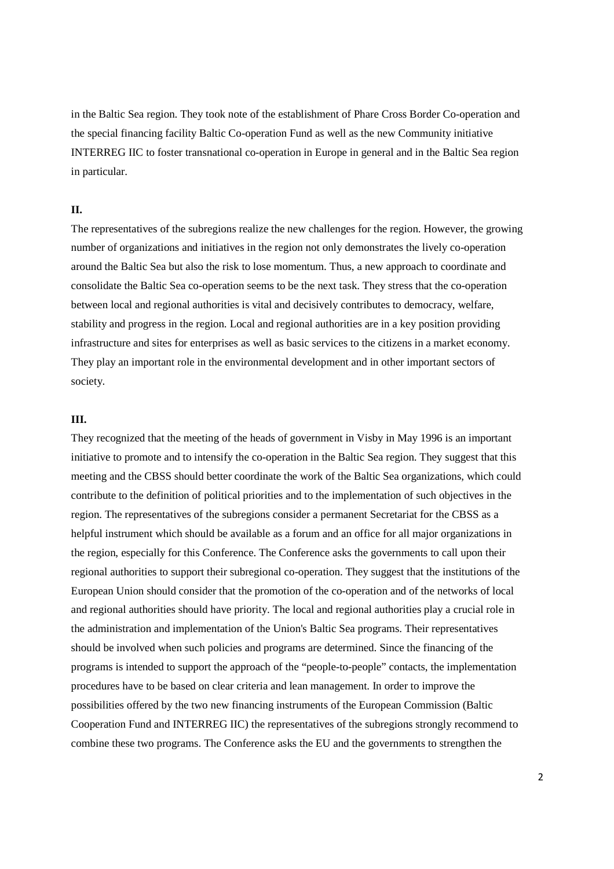in the Baltic Sea region. They took note of the establishment of Phare Cross Border Co-operation and the special financing facility Baltic Co-operation Fund as well as the new Community initiative INTERREG IIC to foster transnational co-operation in Europe in general and in the Baltic Sea region in particular.

## **II.**

The representatives of the subregions realize the new challenges for the region. However, the growing number of organizations and initiatives in the region not only demonstrates the lively co-operation around the Baltic Sea but also the risk to lose momentum. Thus, a new approach to coordinate and consolidate the Baltic Sea co-operation seems to be the next task. They stress that the co-operation between local and regional authorities is vital and decisively contributes to democracy, welfare, stability and progress in the region. Local and regional authorities are in a key position providing infrastructure and sites for enterprises as well as basic services to the citizens in a market economy. They play an important role in the environmental development and in other important sectors of society.

#### **III.**

They recognized that the meeting of the heads of government in Visby in May 1996 is an important initiative to promote and to intensify the co-operation in the Baltic Sea region. They suggest that this meeting and the CBSS should better coordinate the work of the Baltic Sea organizations, which could contribute to the definition of political priorities and to the implementation of such objectives in the region. The representatives of the subregions consider a permanent Secretariat for the CBSS as a helpful instrument which should be available as a forum and an office for all major organizations in the region, especially for this Conference. The Conference asks the governments to call upon their regional authorities to support their subregional co-operation. They suggest that the institutions of the European Union should consider that the promotion of the co-operation and of the networks of local and regional authorities should have priority. The local and regional authorities play a crucial role in the administration and implementation of the Union's Baltic Sea programs. Their representatives should be involved when such policies and programs are determined. Since the financing of the programs is intended to support the approach of the "people-to-people" contacts, the implementation procedures have to be based on clear criteria and lean management. In order to improve the possibilities offered by the two new financing instruments of the European Commission (Baltic Cooperation Fund and INTERREG IIC) the representatives of the subregions strongly recommend to combine these two programs. The Conference asks the EU and the governments to strengthen the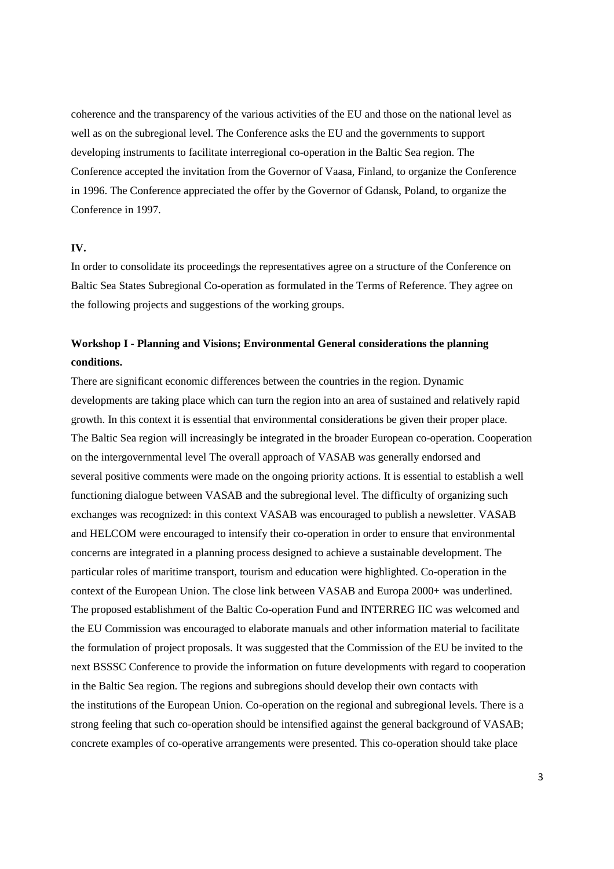coherence and the transparency of the various activities of the EU and those on the national level as well as on the subregional level. The Conference asks the EU and the governments to support developing instruments to facilitate interregional co-operation in the Baltic Sea region. The Conference accepted the invitation from the Governor of Vaasa, Finland, to organize the Conference in 1996. The Conference appreciated the offer by the Governor of Gdansk, Poland, to organize the Conference in 1997.

#### **IV.**

In order to consolidate its proceedings the representatives agree on a structure of the Conference on Baltic Sea States Subregional Co-operation as formulated in the Terms of Reference. They agree on the following projects and suggestions of the working groups.

# **Workshop I - Planning and Visions; Environmental General considerations the planning conditions.**

There are significant economic differences between the countries in the region. Dynamic developments are taking place which can turn the region into an area of sustained and relatively rapid growth. In this context it is essential that environmental considerations be given their proper place. The Baltic Sea region will increasingly be integrated in the broader European co-operation. Cooperation on the intergovernmental level The overall approach of VASAB was generally endorsed and several positive comments were made on the ongoing priority actions. It is essential to establish a well functioning dialogue between VASAB and the subregional level. The difficulty of organizing such exchanges was recognized: in this context VASAB was encouraged to publish a newsletter. VASAB and HELCOM were encouraged to intensify their co-operation in order to ensure that environmental concerns are integrated in a planning process designed to achieve a sustainable development. The particular roles of maritime transport, tourism and education were highlighted. Co-operation in the context of the European Union. The close link between VASAB and Europa 2000+ was underlined. The proposed establishment of the Baltic Co-operation Fund and INTERREG IIC was welcomed and the EU Commission was encouraged to elaborate manuals and other information material to facilitate the formulation of project proposals. It was suggested that the Commission of the EU be invited to the next BSSSC Conference to provide the information on future developments with regard to cooperation in the Baltic Sea region. The regions and subregions should develop their own contacts with the institutions of the European Union. Co-operation on the regional and subregional levels. There is a strong feeling that such co-operation should be intensified against the general background of VASAB; concrete examples of co-operative arrangements were presented. This co-operation should take place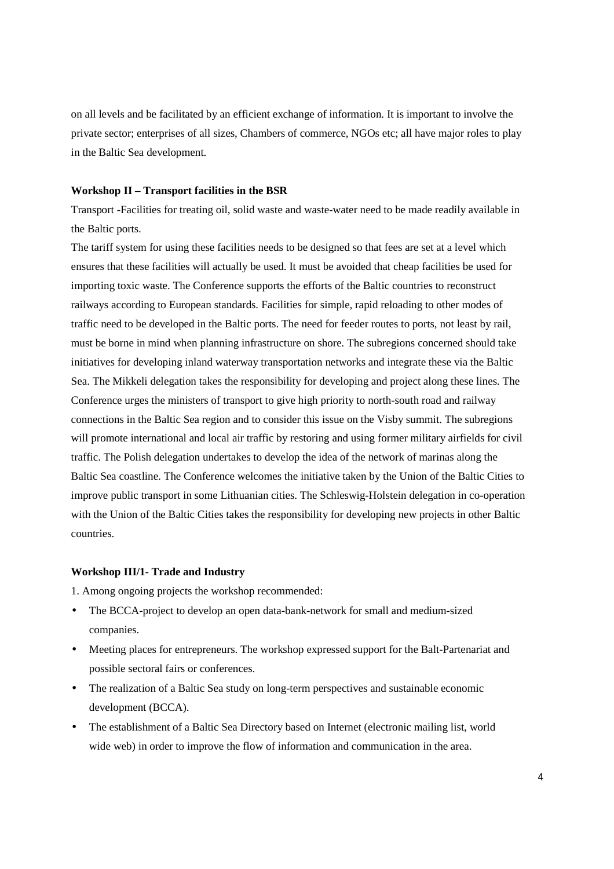on all levels and be facilitated by an efficient exchange of information. It is important to involve the private sector; enterprises of all sizes, Chambers of commerce, NGOs etc; all have major roles to play in the Baltic Sea development.

#### **Workshop II – Transport facilities in the BSR**

Transport -Facilities for treating oil, solid waste and waste-water need to be made readily available in the Baltic ports.

The tariff system for using these facilities needs to be designed so that fees are set at a level which ensures that these facilities will actually be used. It must be avoided that cheap facilities be used for importing toxic waste. The Conference supports the efforts of the Baltic countries to reconstruct railways according to European standards. Facilities for simple, rapid reloading to other modes of traffic need to be developed in the Baltic ports. The need for feeder routes to ports, not least by rail, must be borne in mind when planning infrastructure on shore. The subregions concerned should take initiatives for developing inland waterway transportation networks and integrate these via the Baltic Sea. The Mikkeli delegation takes the responsibility for developing and project along these lines. The Conference urges the ministers of transport to give high priority to north-south road and railway connections in the Baltic Sea region and to consider this issue on the Visby summit. The subregions will promote international and local air traffic by restoring and using former military airfields for civil traffic. The Polish delegation undertakes to develop the idea of the network of marinas along the Baltic Sea coastline. The Conference welcomes the initiative taken by the Union of the Baltic Cities to improve public transport in some Lithuanian cities. The Schleswig-Holstein delegation in co-operation with the Union of the Baltic Cities takes the responsibility for developing new projects in other Baltic countries.

### **Workshop III/1- Trade and Industry**

1. Among ongoing projects the workshop recommended:

- The BCCA-project to develop an open data-bank-network for small and medium-sized companies.
- Meeting places for entrepreneurs. The workshop expressed support for the Balt-Partenariat and possible sectoral fairs or conferences.
- The realization of a Baltic Sea study on long-term perspectives and sustainable economic development (BCCA).
- The establishment of a Baltic Sea Directory based on Internet (electronic mailing list, world wide web) in order to improve the flow of information and communication in the area.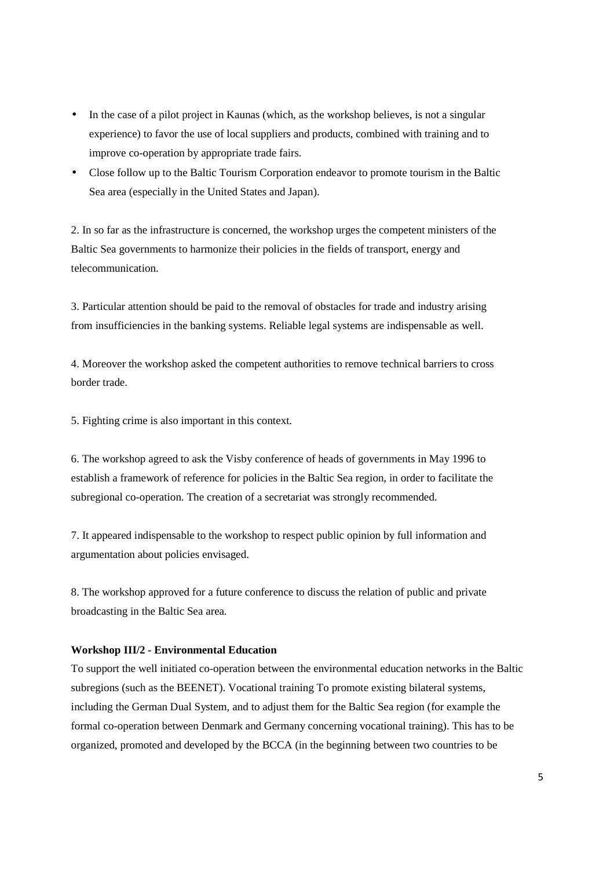- In the case of a pilot project in Kaunas (which, as the workshop believes, is not a singular experience) to favor the use of local suppliers and products, combined with training and to improve co-operation by appropriate trade fairs.
- Close follow up to the Baltic Tourism Corporation endeavor to promote tourism in the Baltic Sea area (especially in the United States and Japan).

2. In so far as the infrastructure is concerned, the workshop urges the competent ministers of the Baltic Sea governments to harmonize their policies in the fields of transport, energy and telecommunication.

3. Particular attention should be paid to the removal of obstacles for trade and industry arising from insufficiencies in the banking systems. Reliable legal systems are indispensable as well.

4. Moreover the workshop asked the competent authorities to remove technical barriers to cross border trade.

5. Fighting crime is also important in this context.

6. The workshop agreed to ask the Visby conference of heads of governments in May 1996 to establish a framework of reference for policies in the Baltic Sea region, in order to facilitate the subregional co-operation. The creation of a secretariat was strongly recommended.

7. It appeared indispensable to the workshop to respect public opinion by full information and argumentation about policies envisaged.

8. The workshop approved for a future conference to discuss the relation of public and private broadcasting in the Baltic Sea area.

#### **Workshop III/2 - Environmental Education**

To support the well initiated co-operation between the environmental education networks in the Baltic subregions (such as the BEENET). Vocational training To promote existing bilateral systems, including the German Dual System, and to adjust them for the Baltic Sea region (for example the formal co-operation between Denmark and Germany concerning vocational training). This has to be organized, promoted and developed by the BCCA (in the beginning between two countries to be